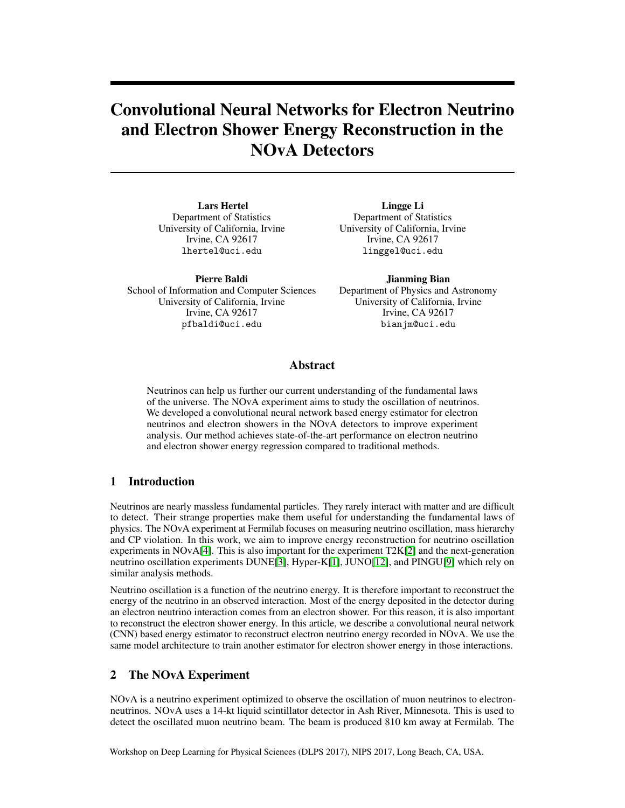# Convolutional Neural Networks for Electron Neutrino and Electron Shower Energy Reconstruction in the NOvA Detectors

Lars Hertel Department of Statistics University of California, Irvine Irvine, CA 92617 lhertel@uci.edu

Pierre Baldi School of Information and Computer Sciences University of California, Irvine Irvine, CA 92617 pfbaldi@uci.edu

Lingge Li Department of Statistics University of California, Irvine Irvine, CA 92617 linggel@uci.edu

Jianming Bian Department of Physics and Astronomy University of California, Irvine Irvine, CA 92617 bianjm@uci.edu

# Abstract

Neutrinos can help us further our current understanding of the fundamental laws of the universe. The NOvA experiment aims to study the oscillation of neutrinos. We developed a convolutional neural network based energy estimator for electron neutrinos and electron showers in the NOvA detectors to improve experiment analysis. Our method achieves state-of-the-art performance on electron neutrino and electron shower energy regression compared to traditional methods.

# 1 Introduction

Neutrinos are nearly massless fundamental particles. They rarely interact with matter and are difficult to detect. Their strange properties make them useful for understanding the fundamental laws of physics. The NOvA experiment at Fermilab focuses on measuring neutrino oscillation, mass hierarchy and CP violation. In this work, we aim to improve energy reconstruction for neutrino oscillation experiments in NOvA[\[4\]](#page-4-0). This is also important for the experiment T2K[\[2\]](#page-4-1) and the next-generation neutrino oscillation experiments DUNE[\[3\]](#page-4-2), Hyper-K[\[1\]](#page-4-3), JUNO[\[12\]](#page-4-4), and PINGU[\[9\]](#page-4-5) which rely on similar analysis methods.

Neutrino oscillation is a function of the neutrino energy. It is therefore important to reconstruct the energy of the neutrino in an observed interaction. Most of the energy deposited in the detector during an electron neutrino interaction comes from an electron shower. For this reason, it is also important to reconstruct the electron shower energy. In this article, we describe a convolutional neural network (CNN) based energy estimator to reconstruct electron neutrino energy recorded in NOvA. We use the same model architecture to train another estimator for electron shower energy in those interactions.

## 2 The NOvA Experiment

NOvA is a neutrino experiment optimized to observe the oscillation of muon neutrinos to electronneutrinos. NOvA uses a 14-kt liquid scintillator detector in Ash River, Minnesota. This is used to detect the oscillated muon neutrino beam. The beam is produced 810 km away at Fermilab. The

Workshop on Deep Learning for Physical Sciences (DLPS 2017), NIPS 2017, Long Beach, CA, USA.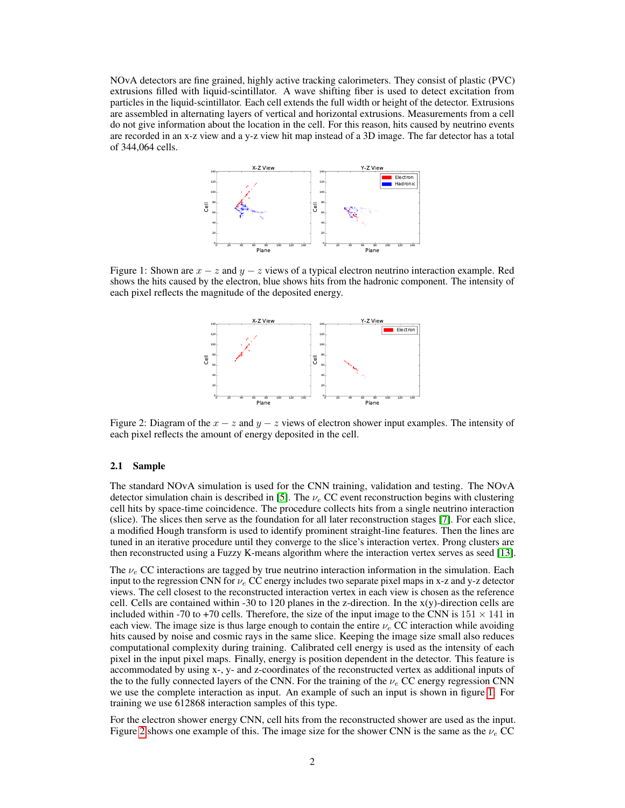NOvA detectors are fine grained, highly active tracking calorimeters. They consist of plastic (PVC) extrusions filled with liquid-scintillator. A wave shifting fiber is used to detect excitation from particles in the liquid-scintillator. Each cell extends the full width or height of the detector. Extrusions are assembled in alternating layers of vertical and horizontal extrusions. Measurements from a cell do not give information about the location in the cell. For this reason, hits caused by neutrino events are recorded in an x-z view and a y-z view hit map instead of a 3D image. The far detector has a total of 344,064 cells.



<span id="page-1-0"></span>Figure 1: Shown are  $x - z$  and  $y - z$  views of a typical electron neutrino interaction example. Red shows the hits caused by the electron, blue shows hits from the hadronic component. The intensity of each pixel reflects the magnitude of the deposited energy.



<span id="page-1-1"></span>Figure 2: Diagram of the  $x - z$  and  $y - z$  views of electron shower input examples. The intensity of each pixel reflects the amount of energy deposited in the cell.

#### 2.1 Sample

The standard NOvA simulation is used for the CNN training, validation and testing. The NOvA detector simulation chain is described in [\[5\]](#page-4-6). The  $\nu_e$  CC event reconstruction begins with clustering cell hits by space-time coincidence. The procedure collects hits from a single neutrino interaction (slice). The slices then serve as the foundation for all later reconstruction stages [\[7\]](#page-4-7). For each slice, a modified Hough transform is used to identify prominent straight-line features. Then the lines are tuned in an iterative procedure until they converge to the slice's interaction vertex. Prong clusters are then reconstructed using a Fuzzy K-means algorithm where the interaction vertex serves as seed [\[13\]](#page-4-8).

The  $\nu_e$  CC interactions are tagged by true neutrino interaction information in the simulation. Each input to the regression CNN for  $\nu_e$  CC energy includes two separate pixel maps in x-z and y-z detector views. The cell closest to the reconstructed interaction vertex in each view is chosen as the reference cell. Cells are contained within -30 to 120 planes in the z-direction. In the  $x(y)$ -direction cells are included within -70 to +70 cells. Therefore, the size of the input image to the CNN is  $151 \times 141$  in each view. The image size is thus large enough to contain the entire  $\nu_e$  CC interaction while avoiding hits caused by noise and cosmic rays in the same slice. Keeping the image size small also reduces computational complexity during training. Calibrated cell energy is used as the intensity of each pixel in the input pixel maps. Finally, energy is position dependent in the detector. This feature is accommodated by using x-, y- and z-coordinates of the reconstructed vertex as additional inputs of the to the fully connected layers of the CNN. For the training of the  $\nu_e$  CC energy regression CNN we use the complete interaction as input. An example of such an input is shown in figure [1.](#page-1-0) For training we use 612868 interaction samples of this type.

For the electron shower energy CNN, cell hits from the reconstructed shower are used as the input. Figure [2](#page-1-1) shows one example of this. The image size for the shower CNN is the same as the  $\nu_e$  CC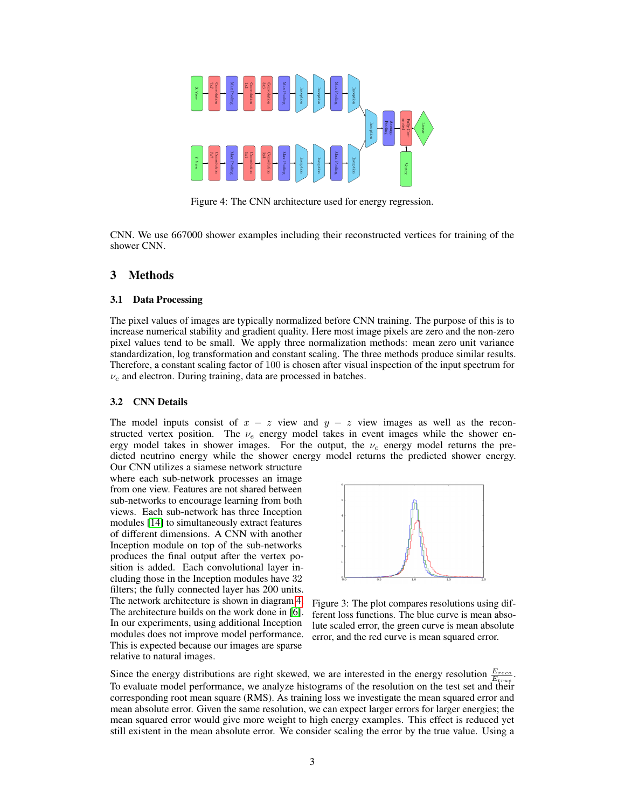

<span id="page-2-0"></span>Figure 4: The CNN architecture used for energy regression.

CNN. We use 667000 shower examples including their reconstructed vertices for training of the shower CNN.

## 3 Methods

#### 3.1 Data Processing

The pixel values of images are typically normalized before CNN training. The purpose of this is to increase numerical stability and gradient quality. Here most image pixels are zero and the non-zero pixel values tend to be small. We apply three normalization methods: mean zero unit variance standardization, log transformation and constant scaling. The three methods produce similar results. Therefore, a constant scaling factor of 100 is chosen after visual inspection of the input spectrum for  $\nu_e$  and electron. During training, data are processed in batches.

#### 3.2 CNN Details

The model inputs consist of  $x - z$  view and  $y - z$  view images as well as the reconstructed vertex position. The  $\nu_e$  energy model takes in event images while the shower energy model takes in shower images. For the output, the  $\nu_e$  energy model returns the predicted neutrino energy while the shower energy model returns the predicted shower energy. Our CNN utilizes a siamese network structure

where each sub-network processes an image from one view. Features are not shared between sub-networks to encourage learning from both views. Each sub-network has three Inception modules [\[14\]](#page-4-9) to simultaneously extract features of different dimensions. A CNN with another Inception module on top of the sub-networks produces the final output after the vertex position is added. Each convolutional layer including those in the Inception modules have 32 filters; the fully connected layer has 200 units. The network architecture is shown in diagram [4.](#page-2-0) The architecture builds on the work done in [\[6\]](#page-4-10). In our experiments, using additional Inception modules does not improve model performance. This is expected because our images are sparse relative to natural images.



<span id="page-2-1"></span>Figure 3: The plot compares resolutions using different loss functions. The blue curve is mean absolute scaled error, the green curve is mean absolute error, and the red curve is mean squared error.

Since the energy distributions are right skewed, we are interested in the energy resolution  $\frac{E_{reco}}{E_{true}}$ . To evaluate model performance, we analyze histograms of the resolution on the test set and their corresponding root mean square (RMS). As training loss we investigate the mean squared error and mean absolute error. Given the same resolution, we can expect larger errors for larger energies; the mean squared error would give more weight to high energy examples. This effect is reduced yet still existent in the mean absolute error. We consider scaling the error by the true value. Using a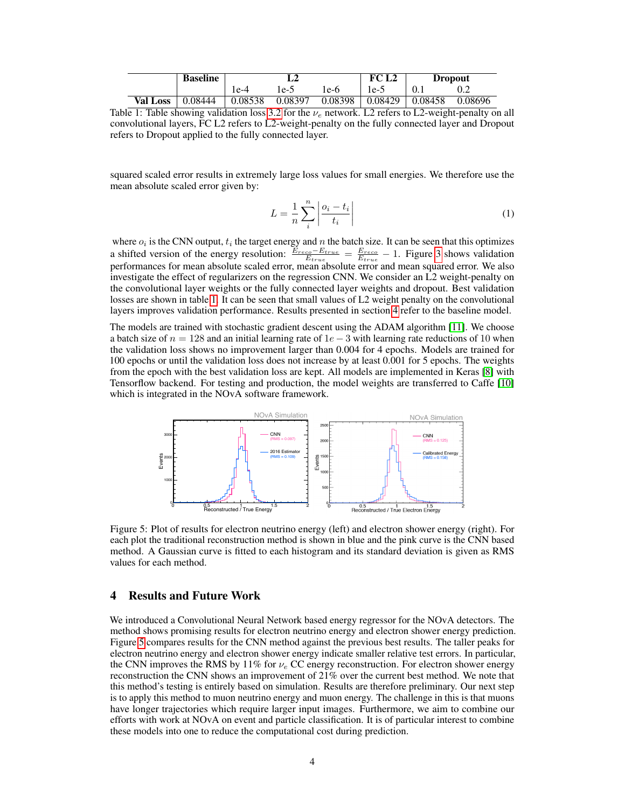<span id="page-3-1"></span>

|                          | <b>Baseline</b> |                         |      |                                   | FCL2   | <b>Dropout</b> |         |
|--------------------------|-----------------|-------------------------|------|-----------------------------------|--------|----------------|---------|
|                          |                 | 1e-4                    | 1e-5 | 1e-6                              | $1e-5$ |                |         |
| Val Loss $\vert$ 0.08444 |                 | $\vert$ 0.08538 0.08397 |      | $0.08398$   $0.08429$   $0.08458$ |        |                | 0.08696 |

Table 1: Table showing validation loss [3.2](#page-3-0) for the  $\nu_e$  network. L2 refers to L2-weight-penalty on all convolutional layers, FC L2 refers to L2-weight-penalty on the fully connected layer and Dropout refers to Dropout applied to the fully connected layer.

squared scaled error results in extremely large loss values for small energies. We therefore use the mean absolute scaled error given by:

<span id="page-3-0"></span>
$$
L = \frac{1}{n} \sum_{i}^{n} \left| \frac{o_i - t_i}{t_i} \right| \tag{1}
$$

where  $o_i$  is the CNN output,  $t_i$  the target energy and n the batch size. It can be seen that this optimizes a shifted version of the energy resolution:  $\frac{E_{reco} - E_{true}}{E_{true}} = \frac{E_{reco}}{E_{true}} - 1$ . Figure [3](#page-2-1) shows validation performances for mean absolute scaled error, mean absolute error and mean squared error. We also investigate the effect of regularizers on the regression CNN. We consider an L2 weight-penalty on the convolutional layer weights or the fully connected layer weights and dropout. Best validation losses are shown in table [1.](#page-3-1) It can be seen that small values of L2 weight penalty on the convolutional layers improves validation performance. Results presented in section [4](#page-3-2) refer to the baseline model.

The models are trained with stochastic gradient descent using the ADAM algorithm [\[11\]](#page-4-11). We choose a batch size of  $n = 128$  and an initial learning rate of  $1e - 3$  with learning rate reductions of 10 when the validation loss shows no improvement larger than 0.004 for 4 epochs. Models are trained for 100 epochs or until the validation loss does not increase by at least 0.001 for 5 epochs. The weights from the epoch with the best validation loss are kept. All models are implemented in Keras [\[8\]](#page-4-12) with Tensorflow backend. For testing and production, the model weights are transferred to Caffe [\[10\]](#page-4-13) which is integrated in the NOvA software framework.



<span id="page-3-3"></span>Figure 5: Plot of results for electron neutrino energy (left) and electron shower energy (right). For each plot the traditional reconstruction method is shown in blue and the pink curve is the CNN based method. A Gaussian curve is fitted to each histogram and its standard deviation is given as RMS values for each method.

## <span id="page-3-2"></span>4 Results and Future Work

We introduced a Convolutional Neural Network based energy regressor for the NOvA detectors. The method shows promising results for electron neutrino energy and electron shower energy prediction. Figure [5](#page-3-3) compares results for the CNN method against the previous best results. The taller peaks for electron neutrino energy and electron shower energy indicate smaller relative test errors. In particular, the CNN improves the RMS by 11% for  $\nu_e$  CC energy reconstruction. For electron shower energy reconstruction the CNN shows an improvement of 21% over the current best method. We note that this method's testing is entirely based on simulation. Results are therefore preliminary. Our next step is to apply this method to muon neutrino energy and muon energy. The challenge in this is that muons have longer trajectories which require larger input images. Furthermore, we aim to combine our efforts with work at NOvA on event and particle classification. It is of particular interest to combine these models into one to reduce the computational cost during prediction.